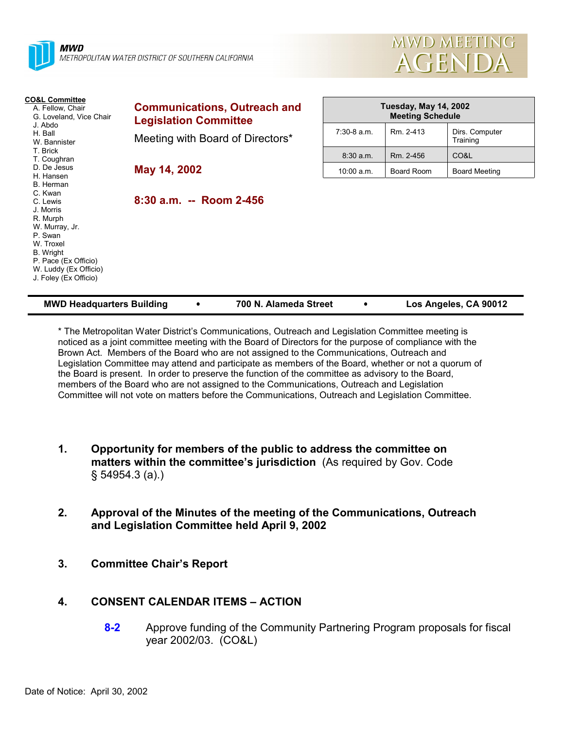



| <b>CO&amp;L Committee</b><br>A. Fellow, Chair<br>G. Loveland, Vice Chair<br>J. Abdo<br>H. Ball<br>W. Bannister                                                                             | <b>Communications, Outreach and</b><br><b>Legislation Committee</b> | <b>Tuesday, May 14, 2002</b><br><b>Meeting Schedule</b> |            |                            |
|--------------------------------------------------------------------------------------------------------------------------------------------------------------------------------------------|---------------------------------------------------------------------|---------------------------------------------------------|------------|----------------------------|
|                                                                                                                                                                                            | Meeting with Board of Directors*                                    | $7:30-8$ a.m.                                           | Rm. 2-413  | Dirs. Computer<br>Training |
| T. Brick<br>T. Coughran                                                                                                                                                                    |                                                                     | $8:30$ a.m.                                             | Rm. 2-456  | CO&L                       |
| D. De Jesus<br>H. Hansen                                                                                                                                                                   | May 14, 2002                                                        | 10:00 a.m.                                              | Board Room | <b>Board Meeting</b>       |
| B. Herman<br>C. Kwan<br>C. Lewis<br>J. Morris<br>R. Murph<br>W. Murray, Jr.<br>P. Swan<br>W. Troxel<br>B. Wright<br>P. Pace (Ex Officio)<br>W. Luddy (Ex Officio)<br>J. Foley (Ex Officio) | 8:30 a.m. -- Room 2-456                                             |                                                         |            |                            |

| <b>MWD Headquarters Building</b> | 700 N. Alameda Street | Los Angeles, CA 90012 |
|----------------------------------|-----------------------|-----------------------|

\* The Metropolitan Water Districtís Communications, Outreach and Legislation Committee meeting is noticed as a joint committee meeting with the Board of Directors for the purpose of compliance with the Brown Act. Members of the Board who are not assigned to the Communications, Outreach and Legislation Committee may attend and participate as members of the Board, whether or not a quorum of the Board is present. In order to preserve the function of the committee as advisory to the Board, members of the Board who are not assigned to the Communications, Outreach and Legislation Committee will not vote on matters before the Communications, Outreach and Legislation Committee.

- **1. Opportunity for members of the public to address the committee on matters within the committee's jurisdiction** (As required by Gov. Code ß 54954.3 (a).)
- **2. Approval of the Minutes of the meeting of the Communications, Outreach and Legislation Committee held April 9, 2002**
- **3. Committee Chairís Report**

# **4. CONSENT CALENDAR ITEMS – ACTION**

**8-2** Approve funding of the Community Partnering Program proposals for fiscal year 2002/03. (CO&L)